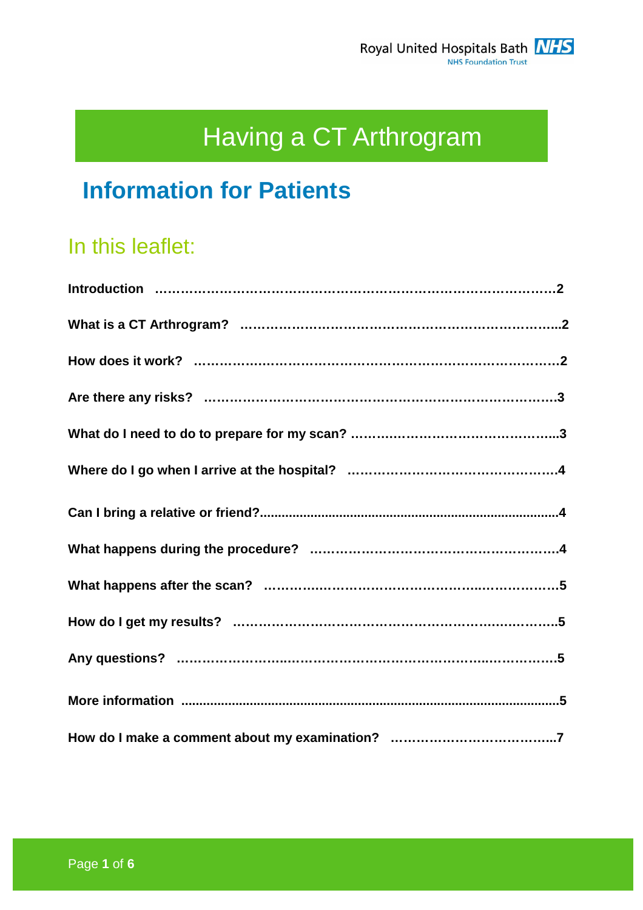# Having a CT Arthrogram

# **Information for Patients**

# In this leaflet: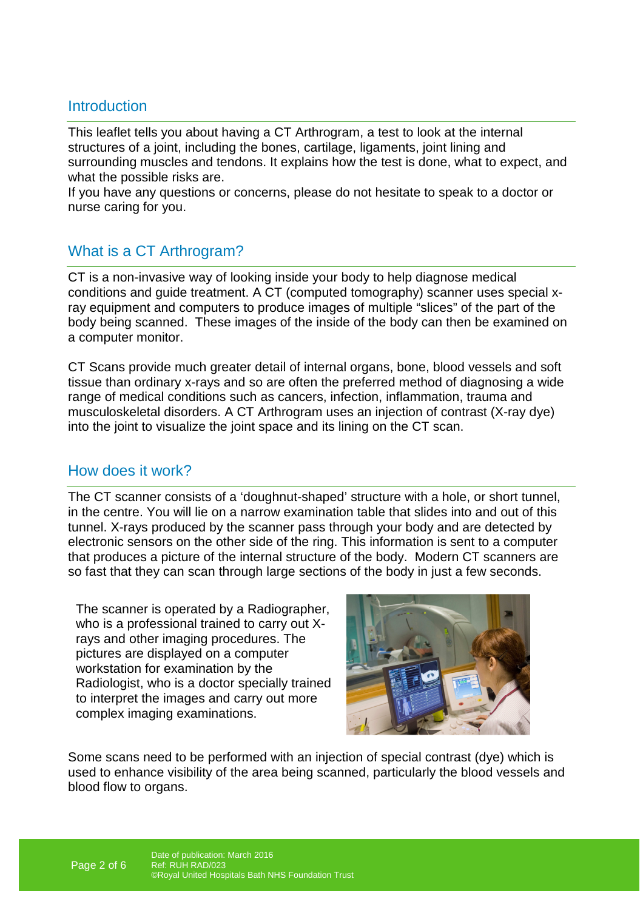# **Introduction**

This leaflet tells you about having a CT Arthrogram, a test to look at the internal structures of a joint, including the bones, cartilage, ligaments, joint lining and surrounding muscles and tendons. It explains how the test is done, what to expect, and what the possible risks are.

If you have any questions or concerns, please do not hesitate to speak to a doctor or nurse caring for you.

# What is a CT Arthrogram?

CT is a non-invasive way of looking inside your body to help diagnose medical conditions and guide treatment. A CT (computed tomography) scanner uses special xray equipment and computers to produce images of multiple "slices" of the part of the body being scanned. These images of the inside of the body can then be examined on a computer monitor.

CT Scans provide much greater detail of internal organs, bone, blood vessels and soft tissue than ordinary x-rays and so are often the preferred method of diagnosing a wide range of medical conditions such as cancers, infection, inflammation, trauma and musculoskeletal disorders. A CT Arthrogram uses an injection of contrast (X-ray dye) into the joint to visualize the joint space and its lining on the CT scan.

### How does it work?

The CT scanner consists of a 'doughnut-shaped' structure with a hole, or short tunnel, in the centre. You will lie on a narrow examination table that slides into and out of this tunnel. X-rays produced by the scanner pass through your body and are detected by electronic sensors on the other side of the ring. This information is sent to a computer that produces a picture of the internal structure of the body. Modern CT scanners are so fast that they can scan through large sections of the body in just a few seconds.

The scanner is operated by a Radiographer, who is a professional trained to carry out Xrays and other imaging procedures. The pictures are displayed on a computer workstation for examination by the Radiologist, who is a doctor specially trained to interpret the images and carry out more complex imaging examinations.



Some scans need to be performed with an injection of special contrast (dye) which is used to enhance visibility of the area being scanned, particularly the blood vessels and blood flow to organs.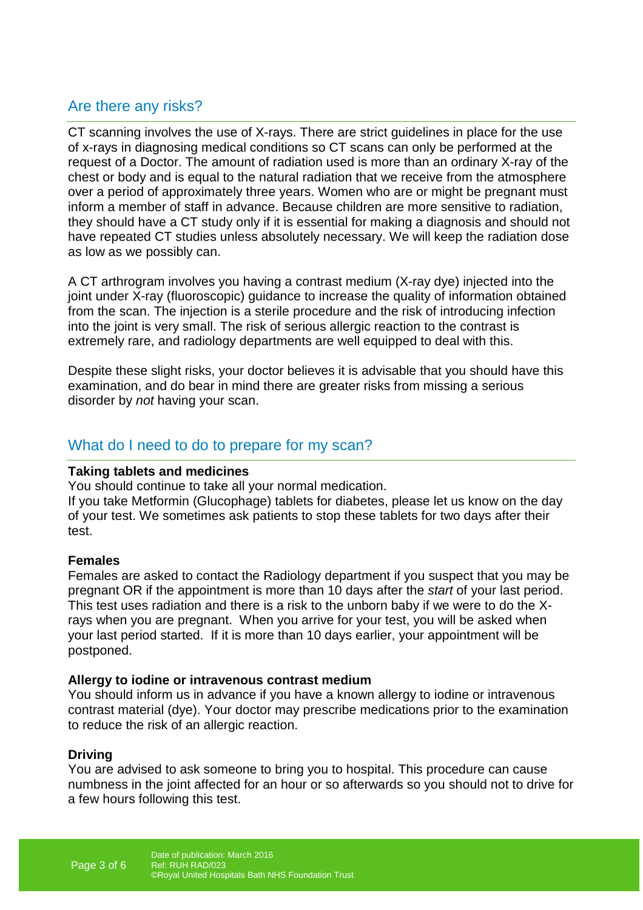# Are there any risks?

CT scanning involves the use of X-rays. There are strict guidelines in place for the use of x-rays in diagnosing medical conditions so CT scans can only be performed at the request of a Doctor. The amount of radiation used is more than an ordinary X-ray of the chest or body and is equal to the natural radiation that we receive from the atmosphere over a period of approximately three years. Women who are or might be pregnant must inform a member of staff in advance. Because children are more sensitive to radiation, they should have a CT study only if it is essential for making a diagnosis and should not have repeated CT studies unless absolutely necessary. We will keep the radiation dose as low as we possibly can.

A CT arthrogram involves you having a contrast medium (X-ray dye) injected into the joint under X-ray (fluoroscopic) guidance to increase the quality of information obtained from the scan. The injection is a sterile procedure and the risk of introducing infection into the joint is very small. The risk of serious allergic reaction to the contrast is extremely rare, and radiology departments are well equipped to deal with this.

Despite these slight risks, your doctor believes it is advisable that you should have this examination, and do bear in mind there are greater risks from missing a serious disorder by not having your scan.

## What do I need to do to prepare for my scan?

#### **Taking tablets and medicines**

You should continue to take all your normal medication.

If you take Metformin (Glucophage) tablets for diabetes, please let us know on the day of your test. We sometimes ask patients to stop these tablets for two days after their test.

#### **Females**

Females are asked to contact the Radiology department if you suspect that you may be pregnant OR if the appointment is more than 10 days after the start of your last period. This test uses radiation and there is a risk to the unborn baby if we were to do the Xrays when you are pregnant. When you arrive for your test, you will be asked when your last period started. If it is more than 10 days earlier, your appointment will be postponed.

#### **Allergy to iodine or intravenous contrast medium**

You should inform us in advance if you have a known allergy to iodine or intravenous contrast material (dye). Your doctor may prescribe medications prior to the examination to reduce the risk of an allergic reaction.

#### **Driving**

You are advised to ask someone to bring you to hospital. This procedure can cause numbness in the joint affected for an hour or so afterwards so you should not to drive for a few hours following this test.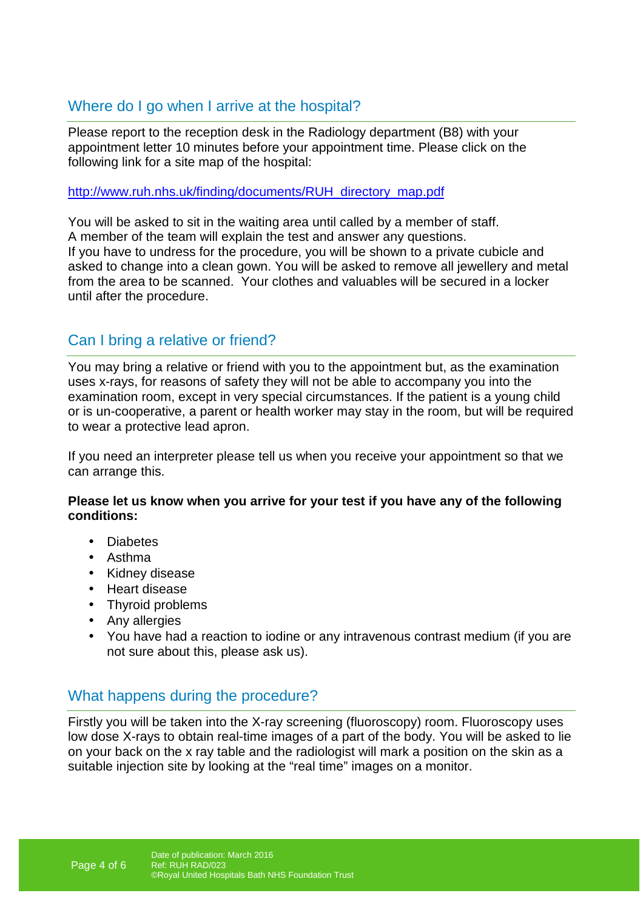# Where do I go when I arrive at the hospital?

Please report to the reception desk in the Radiology department (B8) with your appointment letter 10 minutes before your appointment time. Please click on the following link for a site map of the hospital:

http://www.ruh.nhs.uk/finding/documents/RUH\_directory\_map.pdf

You will be asked to sit in the waiting area until called by a member of staff. A member of the team will explain the test and answer any questions. If you have to undress for the procedure, you will be shown to a private cubicle and asked to change into a clean gown. You will be asked to remove all jewellery and metal from the area to be scanned. Your clothes and valuables will be secured in a locker until after the procedure.

# Can I bring a relative or friend?

You may bring a relative or friend with you to the appointment but, as the examination uses x-rays, for reasons of safety they will not be able to accompany you into the examination room, except in very special circumstances. If the patient is a young child or is un-cooperative, a parent or health worker may stay in the room, but will be required to wear a protective lead apron.

If you need an interpreter please tell us when you receive your appointment so that we can arrange this.

#### **Please let us know when you arrive for your test if you have any of the following conditions:**

- Diabetes
- Asthma
- Kidney disease
- Heart disease
- Thyroid problems
- Any allergies
- You have had a reaction to iodine or any intravenous contrast medium (if you are not sure about this, please ask us).

## What happens during the procedure?

Firstly you will be taken into the X-ray screening (fluoroscopy) room. Fluoroscopy uses low dose X-rays to obtain real-time images of a part of the body. You will be asked to lie on your back on the x ray table and the radiologist will mark a position on the skin as a suitable injection site by looking at the "real time" images on a monitor.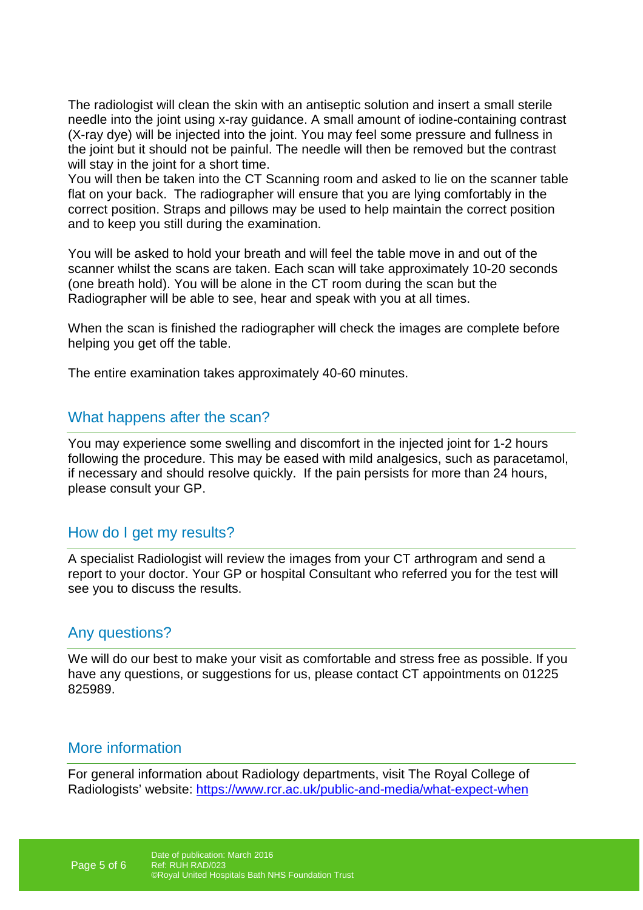The radiologist will clean the skin with an antiseptic solution and insert a small sterile needle into the joint using x-ray guidance. A small amount of iodine-containing contrast (X-ray dye) will be injected into the joint. You may feel some pressure and fullness in the joint but it should not be painful. The needle will then be removed but the contrast will stay in the joint for a short time.

You will then be taken into the CT Scanning room and asked to lie on the scanner table flat on your back. The radiographer will ensure that you are lying comfortably in the correct position. Straps and pillows may be used to help maintain the correct position and to keep you still during the examination.

You will be asked to hold your breath and will feel the table move in and out of the scanner whilst the scans are taken. Each scan will take approximately 10-20 seconds (one breath hold). You will be alone in the CT room during the scan but the Radiographer will be able to see, hear and speak with you at all times.

When the scan is finished the radiographer will check the images are complete before helping you get off the table.

The entire examination takes approximately 40-60 minutes.

## What happens after the scan?

You may experience some swelling and discomfort in the injected joint for 1-2 hours following the procedure. This may be eased with mild analgesics, such as paracetamol, if necessary and should resolve quickly. If the pain persists for more than 24 hours, please consult your GP.

### How do I get my results?

A specialist Radiologist will review the images from your CT arthrogram and send a report to your doctor. Your GP or hospital Consultant who referred you for the test will see you to discuss the results.

### Any questions?

We will do our best to make your visit as comfortable and stress free as possible. If you have any questions, or suggestions for us, please contact CT appointments on 01225 825989.

## More information

For general information about Radiology departments, visit The Royal College of Radiologists' website: https://www.rcr.ac.uk/public-and-media/what-expect-when